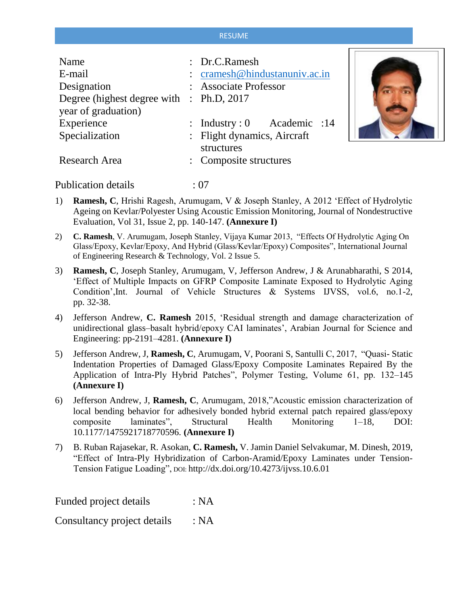## RESUME

 $\Box$ 

| Name<br>E-mail                                                  | : Dr.C.Ramesh<br>: cramesh@hindustanuniv.ac.in |
|-----------------------------------------------------------------|------------------------------------------------|
| Designation                                                     | : Associate Professor                          |
| Degree (highest degree with : Ph.D, 2017<br>year of graduation) |                                                |
| Experience                                                      | : Industry: $0$ Academic : 14                  |
| Specialization                                                  | : Flight dynamics, Aircraft<br>structures      |
| Research Area                                                   | : Composite structures                         |

Publication details : 07

- 1) **Ramesh, C**, Hrishi Ragesh, Arumugam, V & Joseph Stanley, A 2012 'Effect of Hydrolytic Ageing on Kevlar/Polyester Using Acoustic Emission Monitoring, Journal of Nondestructive Evaluation, Vol 31, Issue 2, pp. 140-147. **(Annexure I)**
- 2) **C. Ramesh**, V. Arumugam, Joseph Stanley, Vijaya Kumar 2013, "Effects Of Hydrolytic Aging On Glass/Epoxy, Kevlar/Epoxy, And Hybrid (Glass/Kevlar/Epoxy) Composites", International Journal of Engineering Research & Technology, Vol. 2 Issue 5.
- 3) **Ramesh, C**, Joseph Stanley, Arumugam, V, Jefferson Andrew, J & Arunabharathi, S 2014, 'Effect of Multiple Impacts on GFRP Composite Laminate Exposed to Hydrolytic Aging Condition',Int. Journal of Vehicle Structures & Systems IJVSS, vol.6, no.1-2, pp. 32-38.
- 4) Jefferson Andrew, **C. Ramesh** 2015, 'Residual strength and damage characterization of unidirectional glass–basalt hybrid/epoxy CAI laminates', Arabian Journal for Science and Engineering: pp-2191–4281. **(Annexure I)**
- 5) Jefferson Andrew, J, **Ramesh, C**, Arumugam, V, Poorani S, Santulli C, 2017, "Quasi- Static Indentation Properties of Damaged Glass/Epoxy Composite Laminates Repaired By the Application of Intra-Ply Hybrid Patches", Polymer Testing, Volume 61, pp. 132–145 **(Annexure I)**
- 6) Jefferson Andrew, J, **Ramesh, C**, Arumugam, 2018,"Acoustic emission characterization of local bending behavior for adhesively bonded hybrid external patch repaired glass/epoxy composite laminates", Structural Health Monitoring 1–18, DOI: 10.1177/1475921718770596. **(Annexure I)**
- 7) B. Ruban Rajasekar, R. Asokan, **C. Ramesh,** V. Jamin Daniel Selvakumar, M. Dinesh, 2019, "Effect of Intra-Ply Hybridization of Carbon-Aramid/Epoxy Laminates under Tension-Tension Fatigue Loading", DOI: <http://dx.doi.org/10.4273/ijvss.10.6.01>

Funded project details : NA

Consultancy project details : NA